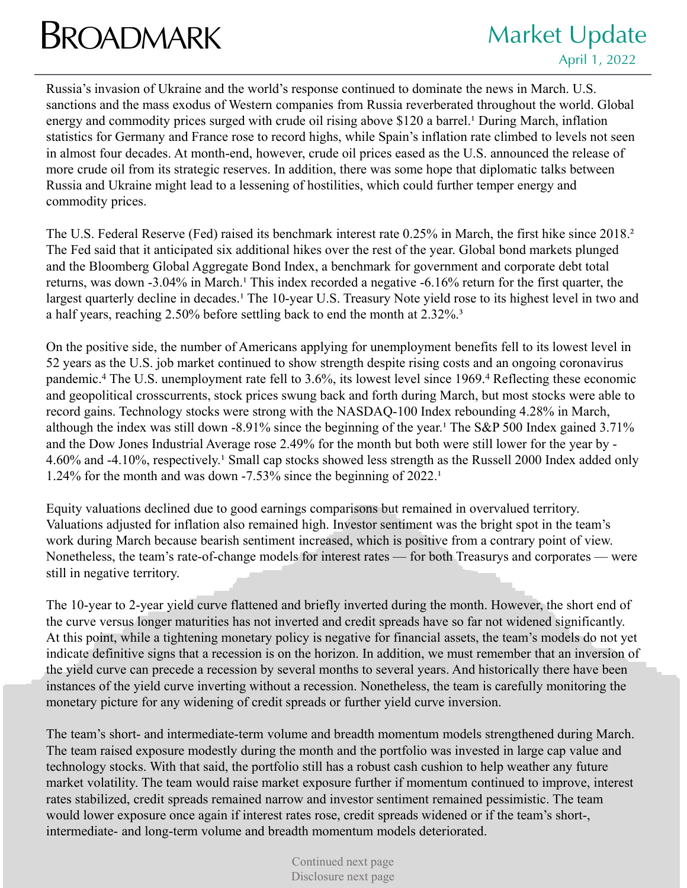## **BROADMARK** Market Update

Russia's invasion of Ukraine and the world's response continued to dominate the news in March. U.S. sanctions and the mass exodus of Western companies from Russia reverberated throughout the world. Global energy and commodity prices surged with crude oil rising above \$120 a barrel.<sup>1</sup> During March, inflation statistics for Germany and France rose to record highs, while Spain's inflation rate climbed to levels not seen in almost four decades. At month-end, however, crude oil prices eased as the U.S. announced the release of more crude oil from its strategic reserves. In addition, there was some hope that diplomatic talks between Russia and Ukraine might lead to a lessening of hostilities, which could further temper energy and commodity prices.

The U.S. Federal Reserve (Fed) raised its benchmark interest rate 0.25% in March, the first hike since 2018.² The Fed said that it anticipated six additional hikes over the rest of the year. Global bond markets plunged and the Bloomberg Global Aggregate Bond Index, a benchmark for government and corporate debt total returns, was down -3.04% in March.<sup>1</sup> This index recorded a negative -6.16% return for the first quarter, the largest quarterly decline in decades.<sup>1</sup> The 10-year U.S. Treasury Note yield rose to its highest level in two and a half years, reaching 2.50% before settling back to end the month at 2.32%.<sup>3</sup>

On the positive side, the number of Americans applying for unemployment benefits fell to its lowest level in 52 years as the U.S. job market continued to show strength despite rising costs and an ongoing coronavirus pandemic.4 The U.S. unemployment rate fell to 3.6%, its lowest level since 1969.4 Reflecting these economic and geopolitical crosscurrents, stock prices swung back and forth during March, but most stocks were able to record gains. Technology stocks were strong with the NASDAQ-100 Index rebounding 4.28% in March, although the index was still down -8.91% since the beginning of the year.<sup>1</sup> The S&P 500 Index gained 3.71% and the Dow Jones Industrial Average rose 2.49% for the month but both were still lower for the year by - 4.60% and -4.10%, respectively.<sup>1</sup> Small cap stocks showed less strength as the Russell 2000 Index added only 1.24% for the month and was down  $-7.53\%$  since the beginning of 2022.<sup>1</sup>

Equity valuations declined due to good earnings comparisons but remained in overvalued territory. Valuations adjusted for inflation also remained high. Investor sentiment was the bright spot in the team's work during March because bearish sentiment increased, which is positive from a contrary point of view. Nonetheless, the team's rate-of-change models for interest rates — for both Treasurys and corporates — were still in negative territory.

The 10-year to 2-year yield curve flattened and briefly inverted during the month. However, the short end of the curve versus longer maturities has not inverted and credit spreads have so far not widened significantly. At this point, while a tightening monetary policy is negative for financial assets, the team's models do not yet indicate definitive signs that a recession is on the horizon. In addition, we must remember that an inversion of the yield curve can precede a recession by several months to several years. And historically there have been instances of the yield curve inverting without a recession. Nonetheless, the team is carefully monitoring the monetary picture for any widening of credit spreads or further yield curve inversion.

The team's short- and intermediate-term volume and breadth momentum models strengthened during March. The team raised exposure modestly during the month and the portfolio was invested in large cap value and technology stocks. With that said, the portfolio still has a robust cash cushion to help weather any future market volatility. The team would raise market exposure further if momentum continued to improve, interest rates stabilized, credit spreads remained narrow and investor sentiment remained pessimistic. The team would lower exposure once again if interest rates rose, credit spreads widened or if the team's short-, intermediate- and long-term volume and breadth momentum models deteriorated.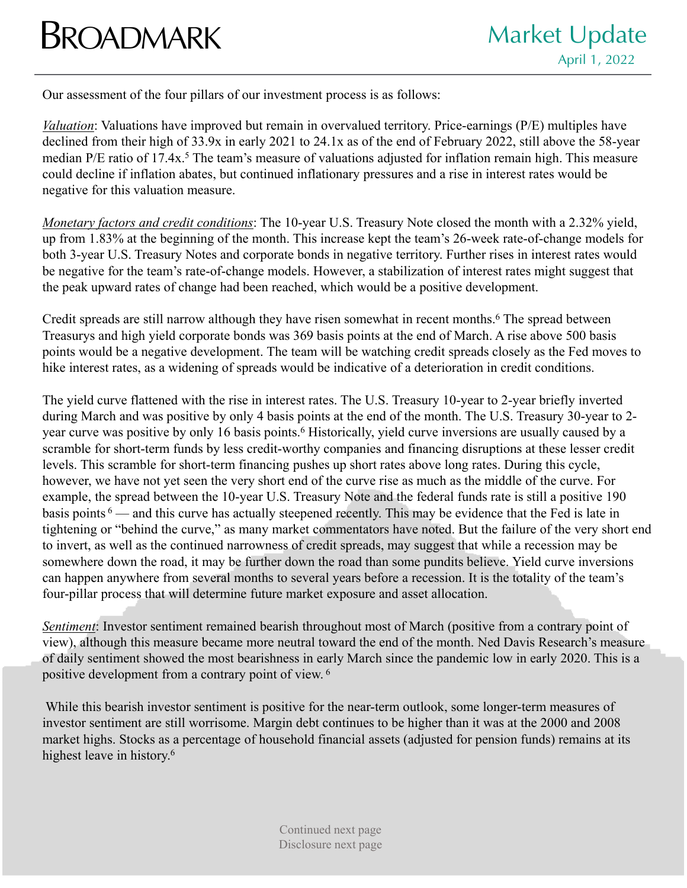## **BROADMARK** Market Update

Our assessment of the four pillars of our investment process is as follows:

*Valuation*: Valuations have improved but remain in overvalued territory. Price-earnings (P/E) multiples have declined from their high of 33.9x in early 2021 to 24.1x as of the end of February 2022, still above the 58-year median P/E ratio of 17.4x.<sup>5</sup> The team's measure of valuations adjusted for inflation remain high. This measure could decline if inflation abates, but continued inflationary pressures and a rise in interest rates would be negative for this valuation measure.

*Monetary factors and credit conditions*: The 10-year U.S. Treasury Note closed the month with a 2.32% yield, up from 1.83% at the beginning of the month. This increase kept the team's 26-week rate-of-change models for both 3-year U.S. Treasury Notes and corporate bonds in negative territory. Further rises in interest rates would be negative for the team's rate-of-change models. However, a stabilization of interest rates might suggest that the peak upward rates of change had been reached, which would be a positive development.

Credit spreads are still narrow although they have risen somewhat in recent months.<sup>6</sup> The spread between Treasurys and high yield corporate bonds was 369 basis points at the end of March. A rise above 500 basis points would be a negative development. The team will be watching credit spreads closely as the Fed moves to hike interest rates, as a widening of spreads would be indicative of a deterioration in credit conditions.

The yield curve flattened with the rise in interest rates. The U.S. Treasury 10-year to 2-year briefly inverted during March and was positive by only 4 basis points at the end of the month. The U.S. Treasury 30-year to 2 year curve was positive by only 16 basis points.<sup>6</sup> Historically, yield curve inversions are usually caused by a scramble for short-term funds by less credit-worthy companies and financing disruptions at these lesser credit levels. This scramble for short-term financing pushes up short rates above long rates. During this cycle, however, we have not yet seen the very short end of the curve rise as much as the middle of the curve. For example, the spread between the 10-year U.S. Treasury Note and the federal funds rate is still a positive 190 basis points <sup>6</sup> — and this curve has actually steepened recently. This may be evidence that the Fed is late in tightening or "behind the curve," as many market commentators have noted. But the failure of the very short end to invert, as well as the continued narrowness of credit spreads, may suggest that while a recession may be somewhere down the road, it may be further down the road than some pundits believe. Yield curve inversions can happen anywhere from several months to several years before a recession. It is the totality of the team's four-pillar process that will determine future market exposure and asset allocation.

*Sentiment*: Investor sentiment remained bearish throughout most of March (positive from a contrary point of view), although this measure became more neutral toward the end of the month. Ned Davis Research's measure of daily sentiment showed the most bearishness in early March since the pandemic low in early 2020. This is a positive development from a contrary point of view. <sup>6</sup>

While this bearish investor sentiment is positive for the near-term outlook, some longer-term measures of investor sentiment are still worrisome. Margin debt continues to be higher than it was at the 2000 and 2008 market highs. Stocks as a percentage of household financial assets (adjusted for pension funds) remains at its highest leave in history.<sup>6</sup>